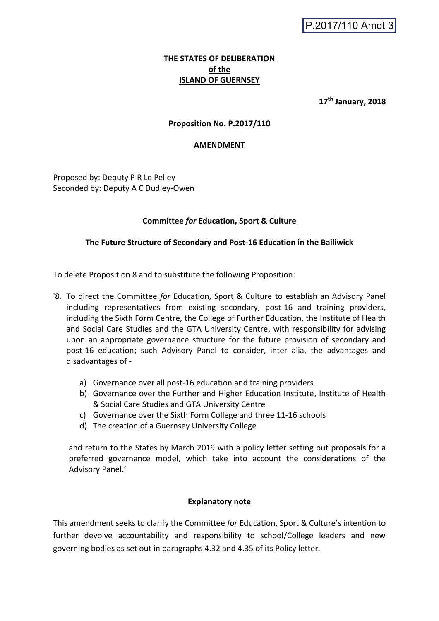P.2017/110 Amdt 3

# **THE STATES OF DELIBERATION of the ISLAND OF GUERNSEY**

**17th January, 2018**

## **Proposition No. P.2017/110**

### **AMENDMENT**

Proposed by: Deputy P R Le Pelley Seconded by: Deputy A C Dudley-Owen

### **Committee** *for* **Education, Sport & Culture**

### **The Future Structure of Secondary and Post-16 Education in the Bailiwick**

To delete Proposition 8 and to substitute the following Proposition:

- '8. To direct the Committee *for* Education, Sport & Culture to establish an Advisory Panel including representatives from existing secondary, post-16 and training providers, including the Sixth Form Centre, the College of Further Education, the Institute of Health and Social Care Studies and the GTA University Centre, with responsibility for advising upon an appropriate governance structure for the future provision of secondary and post-16 education; such Advisory Panel to consider, inter alia, the advantages and disadvantages of
	- a) Governance over all post-16 education and training providers
	- b) Governance over the Further and Higher Education Institute, Institute of Health & Social Care Studies and GTA University Centre
	- c) Governance over the Sixth Form College and three 11-16 schools
	- d) The creation of a Guernsey University College

and return to the States by March 2019 with a policy letter setting out proposals for a preferred governance model, which take into account the considerations of the Advisory Panel.'

#### **Explanatory note**

This amendment seeks to clarify the Committee *for* Education, Sport & Culture's intention to further devolve accountability and responsibility to school/College leaders and new governing bodies as set out in paragraphs 4.32 and 4.35 of its Policy letter.